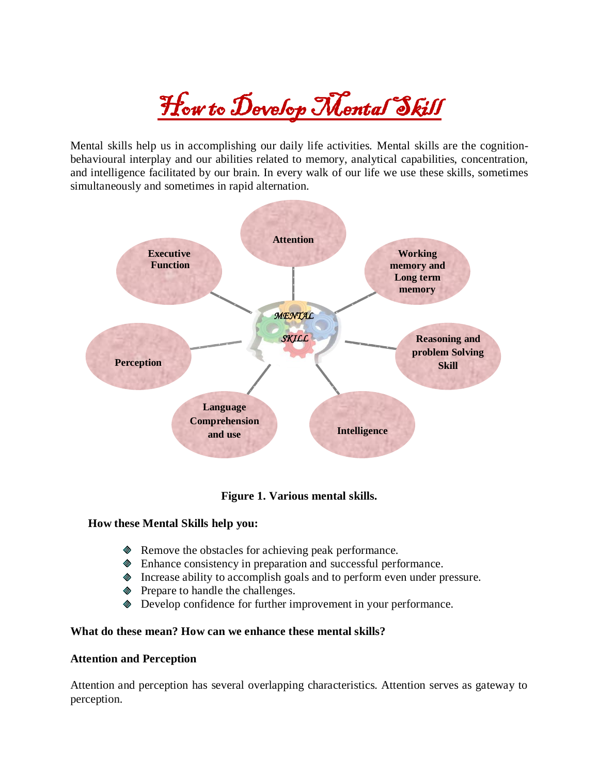How to Develop Mental Skill

Mental skills help us in accomplishing our daily life activities. Mental skills are the cognitionbehavioural interplay and our abilities related to memory, analytical capabilities, concentration, and intelligence facilitated by our brain. In every walk of our life we use these skills, sometimes simultaneously and sometimes in rapid alternation.



**Figure 1. Various mental skills.**

## **How these Mental Skills help you:**

- Remove the obstacles for achieving peak performance.
- Enhance consistency in preparation and successful performance.
- Increase ability to accomplish goals and to perform even under pressure.
- ◆ Prepare to handle the challenges.
- Develop confidence for further improvement in your performance.

## **What do these mean? How can we enhance these mental skills?**

## **Attention and Perception**

Attention and perception has several overlapping characteristics. Attention serves as gateway to perception.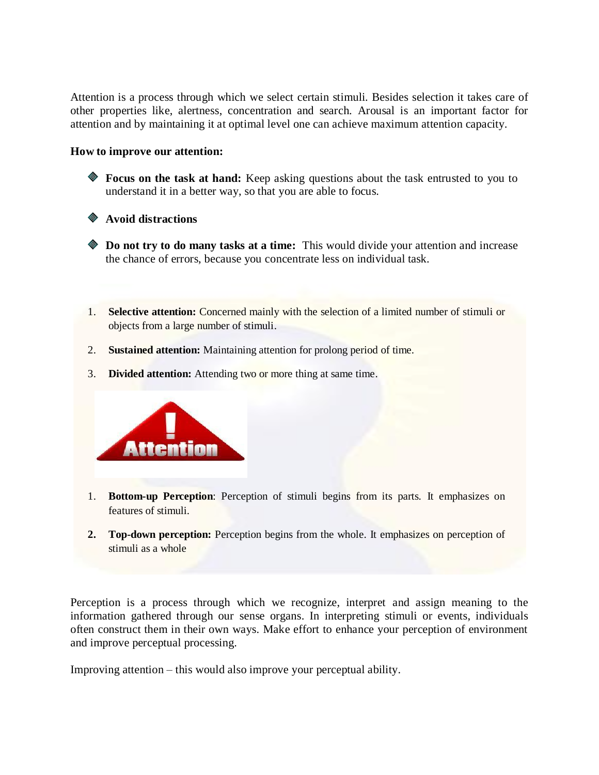Attention is a process through which we select certain stimuli. Besides selection it takes care of other properties like, alertness, concentration and search. Arousal is an important factor for attention and by maintaining it at optimal level one can achieve maximum attention capacity.

### **How to improve our attention:**

- **Focus on the task at hand:** Keep asking questions about the task entrusted to you to understand it in a better way, so that you are able to focus.
- **Avoid distractions**
- **Do not try to do many tasks at a time:** This would divide your attention and increase the chance of errors, because you concentrate less on individual task.
- 1. **Selective attention:** Concerned mainly with the selection of a limited number of stimuli or objects from a large number of stimuli.
- 2. **Sustained attention:** Maintaining attention for prolong period of time.
- 3. **Divided attention:** Attending two or more thing at same time.



- 1. **Bottom-up Perception**: Perception of stimuli begins from its parts. It emphasizes on features of stimuli.
- **2. Top-down perception:** Perception begins from the whole. It emphasizes on perception of stimuli as a whole

Perception is a process through which we recognize, interpret and assign meaning to the information gathered through our sense organs. In interpreting stimuli or events, individuals often construct them in their own ways. Make effort to enhance your perception of environment and improve perceptual processing.

Improving attention – this would also improve your perceptual ability.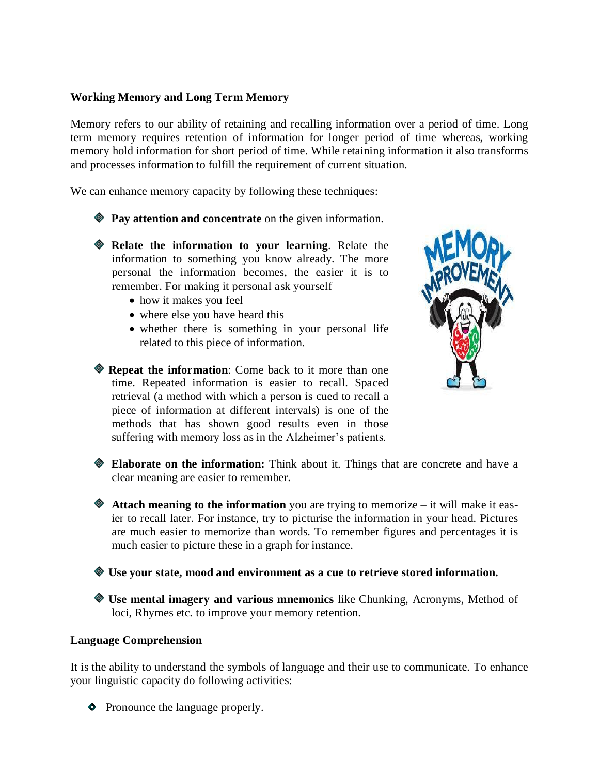## **Working Memory and Long Term Memory**

Memory refers to our ability of retaining and recalling information over a period of time. Long term memory requires retention of information for longer period of time whereas, working memory hold information for short period of time. While retaining information it also transforms and processes information to fulfill the requirement of current situation.

We can enhance memory capacity by following these techniques:

- **Pay attention and concentrate** on the given information.
- **Relate the information to your learning**. Relate the information to something you know already. The more personal the information becomes, the easier it is to remember. For making it personal ask yourself
	- how it makes you feel
	- where else you have heard this
	- whether there is something in your personal life related to this piece of information.
- **Repeat the information**: Come back to it more than one time. Repeated information is easier to recall. Spaced retrieval (a method with which a person is cued to recall a piece of information at different intervals) is one of the methods that has shown good results even in those suffering with memory loss as in the Alzheimer's patients.



**Elaborate on the information:** Think about it. Things that are concrete and have a clear meaning are easier to remember.

 **Attach meaning to the information** you are trying to memorize – it will make it easier to recall later. For instance, try to picturise the information in your head. Pictures are much easier to memorize than words. To remember figures and percentages it is much easier to picture these in a graph for instance.

**Use your state, mood and environment as a cue to retrieve stored information.** 

**Use mental imagery and various mnemonics** like Chunking, Acronyms, Method of loci, Rhymes etc. to improve your memory retention.

## **Language Comprehension**

It is the ability to understand the symbols of language and their use to communicate. To enhance your linguistic capacity do following activities:

• Pronounce the language properly.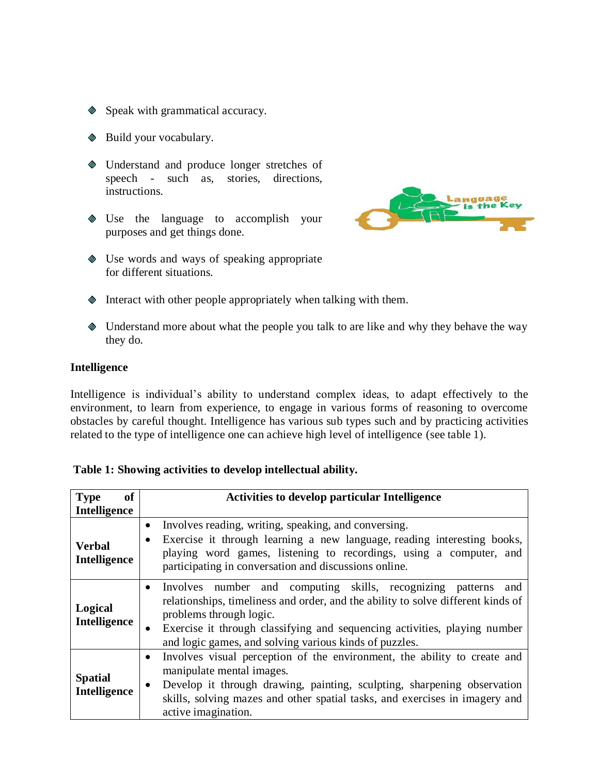- ◆ Speak with grammatical accuracy.
- ◆ Build your vocabulary.
- Understand and produce longer stretches of speech - such as, stories, directions, instructions.
- Use the language to accomplish your purposes and get things done.
- Use words and ways of speaking appropriate for different situations.



- Interact with other people appropriately when talking with them.
- Understand more about what the people you talk to are like and why they behave the way they do.

### **Intelligence**

Intelligence is individual's ability to understand complex ideas, to adapt effectively to the environment, to learn from experience, to engage in various forms of reasoning to overcome obstacles by careful thought. Intelligence has various sub types such and by practicing activities related to the type of intelligence one can achieve high level of intelligence (see table 1).

### **Table 1: Showing activities to develop intellectual ability.**

| of<br><b>Type</b><br><b>Intelligence</b> | <b>Activities to develop particular Intelligence</b>                                                                                                                                                                                                                                                                 |
|------------------------------------------|----------------------------------------------------------------------------------------------------------------------------------------------------------------------------------------------------------------------------------------------------------------------------------------------------------------------|
| Verbal<br><b>Intelligence</b>            | Involves reading, writing, speaking, and conversing.<br>$\bullet$<br>Exercise it through learning a new language, reading interesting books,<br>playing word games, listening to recordings, using a computer, and<br>participating in conversation and discussions online.                                          |
| Logical<br>Intelligence                  | Involves number and computing skills, recognizing patterns and<br>relationships, timeliness and order, and the ability to solve different kinds of<br>problems through logic.<br>Exercise it through classifying and sequencing activities, playing number<br>and logic games, and solving various kinds of puzzles. |
| <b>Spatial</b><br><b>Intelligence</b>    | Involves visual perception of the environment, the ability to create and<br>manipulate mental images.<br>Develop it through drawing, painting, sculpting, sharpening observation<br>skills, solving mazes and other spatial tasks, and exercises in imagery and<br>active imagination.                               |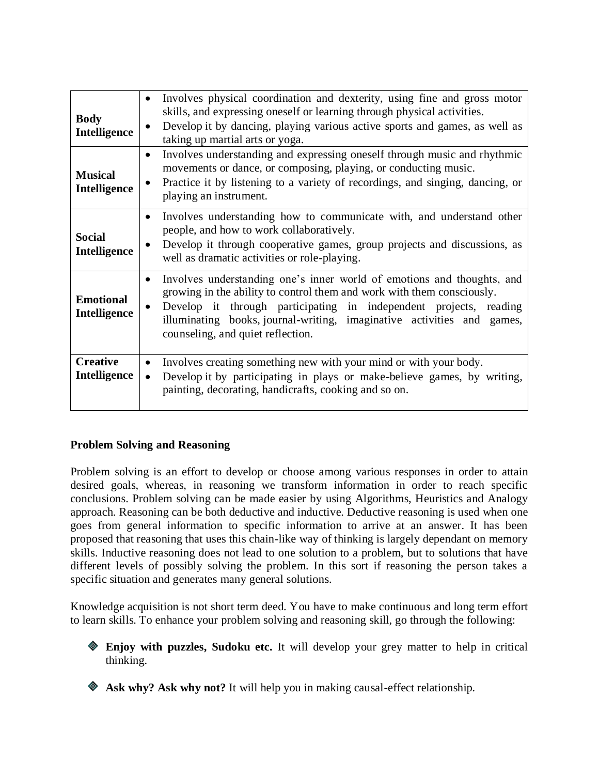| <b>Body</b><br>Intelligence             | Involves physical coordination and dexterity, using fine and gross motor<br>skills, and expressing oneself or learning through physical activities.<br>Develop it by dancing, playing various active sports and games, as well as<br>$\bullet$<br>taking up martial arts or yoga.                                                                 |
|-----------------------------------------|---------------------------------------------------------------------------------------------------------------------------------------------------------------------------------------------------------------------------------------------------------------------------------------------------------------------------------------------------|
| <b>Musical</b><br><b>Intelligence</b>   | Involves understanding and expressing oneself through music and rhythmic<br>movements or dance, or composing, playing, or conducting music.<br>Practice it by listening to a variety of recordings, and singing, dancing, or<br>playing an instrument.                                                                                            |
| <b>Social</b><br><b>Intelligence</b>    | Involves understanding how to communicate with, and understand other<br>$\bullet$<br>people, and how to work collaboratively.<br>Develop it through cooperative games, group projects and discussions, as<br>$\bullet$<br>well as dramatic activities or role-playing.                                                                            |
| <b>Emotional</b><br><b>Intelligence</b> | Involves understanding one's inner world of emotions and thoughts, and<br>growing in the ability to control them and work with them consciously.<br>Develop it through participating in independent projects, reading<br>$\bullet$<br>illuminating books, journal-writing, imaginative activities and games,<br>counseling, and quiet reflection. |
| <b>Creative</b><br><b>Intelligence</b>  | Involves creating something new with your mind or with your body.<br>$\bullet$<br>Develop it by participating in plays or make-believe games, by writing,<br>painting, decorating, handicrafts, cooking and so on.                                                                                                                                |

## **Problem Solving and Reasoning**

Problem solving is an effort to develop or choose among various responses in order to attain desired goals, whereas, in reasoning we transform information in order to reach specific conclusions. Problem solving can be made easier by using Algorithms, Heuristics and Analogy approach. Reasoning can be both deductive and inductive. Deductive reasoning is used when one goes from general information to specific information to arrive at an answer. It has been proposed that reasoning that uses this chain-like way of thinking is largely dependant on memory skills. Inductive reasoning does not lead to one solution to a problem, but to solutions that have different levels of possibly solving the problem. In this sort if reasoning the person takes a specific situation and generates many general solutions.

Knowledge acquisition is not short term deed. You have to make continuous and long term effort to learn skills. To enhance your problem solving and reasoning skill, go through the following:

**Enjoy with puzzles, Sudoku etc.** It will develop your grey matter to help in critical thinking.

**Ask why? Ask why not?** It will help you in making causal-effect relationship.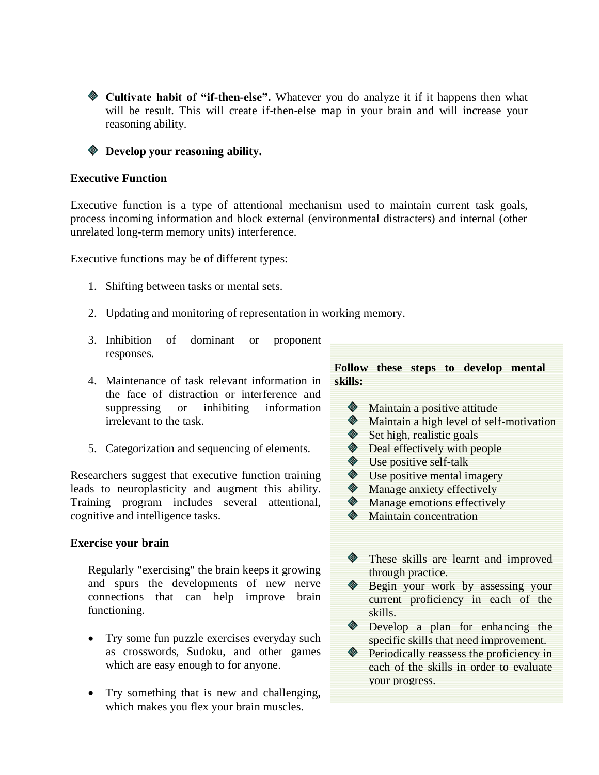**Cultivate habit of "if-then-else".** Whatever you do analyze it if it happens then what will be result. This will create if-then-else map in your brain and will increase your reasoning ability.

**Develop your reasoning ability.**

### **Executive Function**

Executive function is a type of attentional mechanism used to maintain current task goals, process incoming information and block external (environmental distracters) and internal (other unrelated long-term memory units) interference.

Executive functions may be of different types:

- 1. Shifting between tasks or mental sets.
- 2. Updating and monitoring of representation in working memory.
- 3. Inhibition of dominant or proponent responses.
- 4. Maintenance of task relevant information in the face of distraction or interference and suppressing or inhibiting information irrelevant to the task.
- 5. Categorization and sequencing of elements.

Researchers suggest that executive function training leads to neuroplasticity and augment this ability. Training program includes several attentional, cognitive and intelligence tasks.

### **Exercise your brain**

Regularly "exercising" the brain keeps it growing and spurs the developments of new nerve connections that can help improve brain functioning.

- Try some fun puzzle exercises everyday such as crosswords, Sudoku, and other games which are easy enough to for anyone.
- Try something that is new and challenging, which makes you flex your brain muscles.

# **Follow these steps to develop mental skills:**  $\bullet$  Maintain a positive attitude ◈ Maintain a high level of self-motivation Set high, realistic goals ◈ **◆** Deal effectively with people  $\bullet$  Use positive self-talk **♦ Use positive mental imagery Manage anxiety effectively** ◈ Manage emotions effectively  $\bullet$  Maintain concentration These skills are learnt and improved through practice. **Begin your work by assessing your** current proficiency in each of the skills.

**Example 1** Develop a plan for enhancing the specific skills that need improvement.

**Periodically reassess the proficiency in** each of the skills in order to evaluate your progress.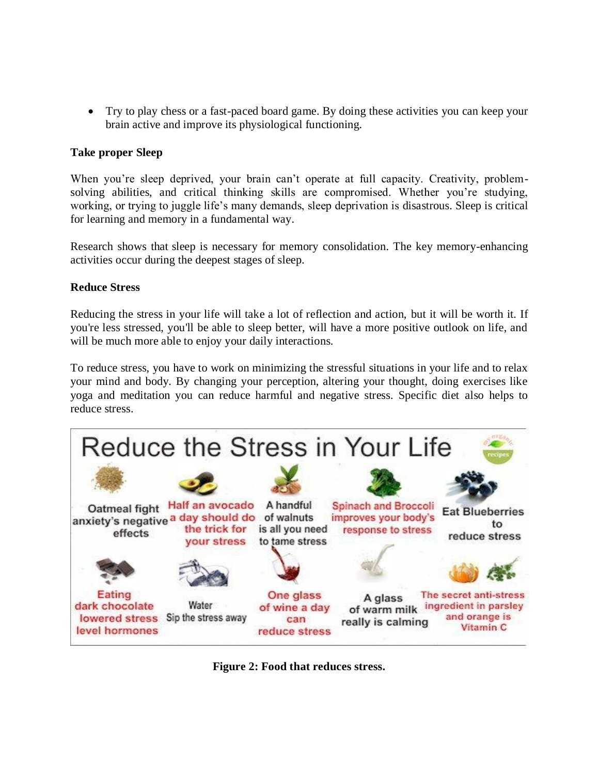Try to play chess or a fast-paced board game. By doing these activities you can keep your brain active and improve its physiological functioning.

## **Take proper Sleep**

When you're sleep deprived, your brain can't operate at full capacity. Creativity, problemsolving abilities, and critical thinking skills are compromised. Whether you're studying, working, or trying to juggle life's many demands, sleep deprivation is disastrous. Sleep is critical for learning and memory in a fundamental way.

Research shows that [sleep](http://www.helpguide.org/life/sleep_tips.htm) is necessary for memory consolidation. The key memory-enhancing activities occur during the deepest stages of sleep.

## **Reduce Stress**

Reducing the stress in your life will take a lot of reflection and action, but it will be worth it. If you're less stressed, you'll be able to sleep better, will have a more positive outlook on life, and will be much more able to enjoy your daily interactions.

To reduce stress, you have to work on minimizing the stressful situations in your life and to relax your mind and body. By changing your perception, altering your thought, doing exercises like yoga and meditation you can reduce harmful and negative stress. Specific diet also helps to reduce stress.



**Figure 2: Food that reduces stress.**